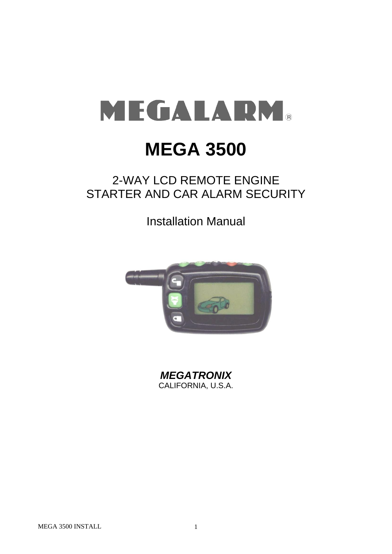# MEGALARM®

# **MEGA 3500**

# 2-WAY LCD REMOTE ENGINE STARTER AND CAR ALARM SECURITY

Installation Manual



*MEGATRONIX* CALIFORNIA, U.S.A.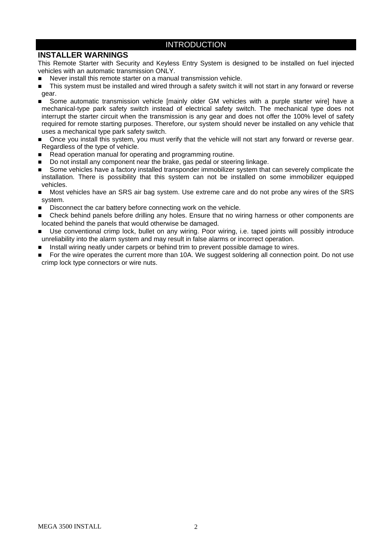#### INTRODUCTION

#### **INSTALLER WARNINGS**

This Remote Starter with Security and Keyless Entry System is designed to be installed on fuel injected vehicles with an automatic transmission ONLY.

- Never install this remote starter on a manual transmission vehicle.
- This system must be installed and wired through a safety switch it will not start in any forward or reverse gear.
- Some automatic transmission vehicle [mainly older GM vehicles with a purple starter wire] have a mechanical-type park safety switch instead of electrical safety switch. The mechanical type does not interrupt the starter circuit when the transmission is any gear and does not offer the 100% level of safety required for remote starting purposes. Therefore, our system should never be installed on any vehicle that uses a mechanical type park safety switch.
- Once you install this system, you must verify that the vehicle will not start any forward or reverse gear. Regardless of the type of vehicle.
- Read operation manual for operating and programming routine.
- Do not install any component near the brake, gas pedal or steering linkage.
- Some vehicles have a factory installed transponder immobilizer system that can severely complicate the installation. There is possibility that this system can not be installed on some immobilizer equipped vehicles.
- Most vehicles have an SRS air bag system. Use extreme care and do not probe any wires of the SRS system.
- Disconnect the car battery before connecting work on the vehicle.
- Check behind panels before drilling any holes. Ensure that no wiring harness or other components are located behind the panels that would otherwise be damaged.
- Use conventional crimp lock, bullet on any wiring. Poor wiring, i.e. taped joints will possibly introduce unreliability into the alarm system and may result in false alarms or incorrect operation.
- Install wiring neatly under carpets or behind trim to prevent possible damage to wires.
- For the wire operates the current more than 10A. We suggest soldering all connection point. Do not use crimp lock type connectors or wire nuts.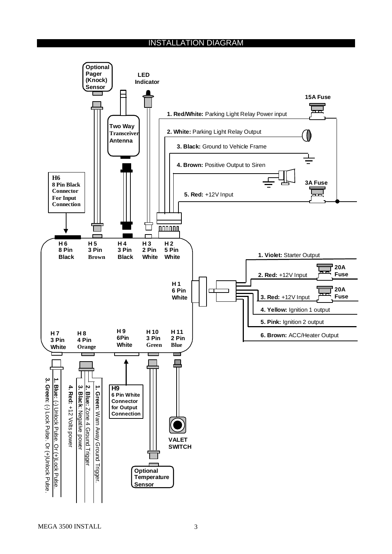#### INSTALLATION DIAGRAM

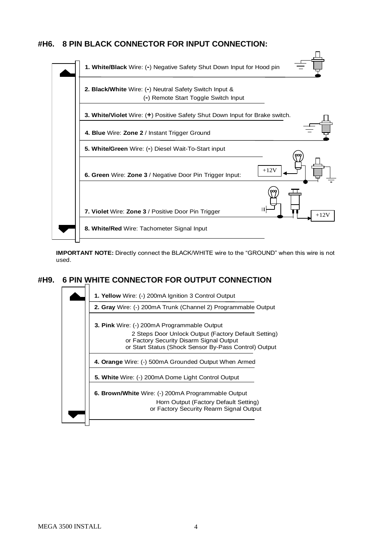#### **#H6. 8 PIN BLACK CONNECTOR FOR INPUT CONNECTION:**



**IMPORTANT NOTE:** Directly connect the BLACK/WHITE wire to the "GROUND" when this wire is not used.

# **#H9. 6 PIN WHITE CONNECTOR FOR OUTPUT CONNECTION**



MEGA 3500 INSTALL 4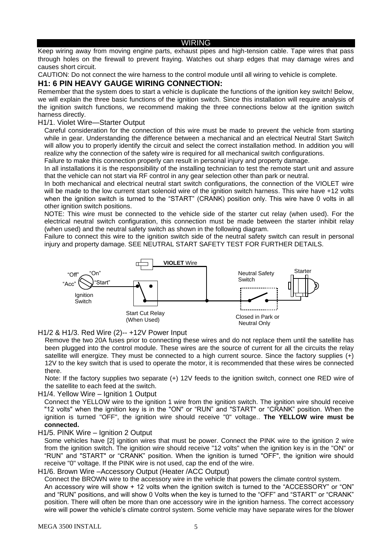#### WIRING

Keep wiring away from moving engine parts, exhaust pipes and high-tension cable. Tape wires that pass through holes on the firewall to prevent fraying. Watches out sharp edges that may damage wires and causes short circuit.

CAUTION: Do not connect the wire harness to the control module until all wiring to vehicle is complete.

#### **H1: 6 PIN HEAVY GAUGE WIRING CONNECTION:**

Remember that the system does to start a vehicle is duplicate the functions of the ignition key switch! Below, we will explain the three basic functions of the ignition switch. Since this installation will require analysis of the ignition switch functions, we recommend making the three connections below at the ignition switch harness directly.

#### H1/1. Violet Wire—Starter Output

Careful consideration for the connection of this wire must be made to prevent the vehicle from starting while in gear. Understanding the difference between a mechanical and an electrical Neutral Start Switch will allow you to properly identify the circuit and select the correct installation method. In addition you will realize why the connection of the safety wire is required for all mechanical switch configurations.

Failure to make this connection properly can result in personal injury and property damage.

In all installations it is the responsibility of the installing technician to test the remote start unit and assure that the vehicle can not start via RF control in any gear selection other than park or neutral.

In both mechanical and electrical neutral start switch configurations, the connection of the VIOLET wire will be made to the low current start solenoid wire of the ignition switch harness. This wire have +12 volts when the ignition switch is turned to the "START" (CRANK) position only. This wire have 0 volts in all other ignition switch positions.

NOTE: This wire must be connected to the vehicle side of the starter cut relay (when used). For the electrical neutral switch configuration, this connection must be made between the starter inhibit relay (when used) and the neutral safety switch as shown in the following diagram.

Failure to connect this wire to the ignition switch side of the neutral safety switch can result in personal injury and property damage. SEE NEUTRAL START SAFETY TEST FOR FURTHER DETAILS.



H1/2 & H1/3. Red Wire (2)-- +12V Power Input

Remove the two 20A fuses prior to connecting these wires and do not replace them until the satellite has been plugged into the control module. These wires are the source of current for all the circuits the relay satellite will energize. They must be connected to a high current source. Since the factory supplies (+) 12V to the key switch that is used to operate the motor, it is recommended that these wires be connected there.

Note: If the factory supplies two separate (+) 12V feeds to the ignition switch, connect one RED wire of the satellite to each feed at the switch.

H1/4. Yellow Wire – Ignition 1 Output

Connect the YELLOW wire to the ignition 1 wire from the ignition switch. The ignition wire should receive "12 volts" when the ignition key is in the "ON" or "RUN" and "START" or "CRANK" position. When the ignition is turned "OFF", the ignition wire should receive "0" voltage.. **The YELLOW wire must be connected.**

H1/5. PINK Wire – Ignition 2 Output

Some vehicles have [2] ignition wires that must be power. Connect the PINK wire to the ignition 2 wire from the ignition switch. The ignition wire should receive "12 volts" when the ignition key is in the "ON" or "RUN" and "START" or "CRANK" position. When the ignition is turned "OFF", the ignition wire should receive "0" voltage. If the PINK wire is not used, cap the end of the wire.

H1/6. Brown Wire –Accessory Output (Heater /ACC Output)

Connect the BROWN wire to the accessory wire in the vehicle that powers the climate control system. An accessory wire will show + 12 volts when the ignition switch is turned to the "ACCESSORY" or "ON" and "RUN" positions, and will show 0 Volts when the key is turned to the "OFF" and "START" or "CRANK" position. There will often be more than one accessory wire in the ignition harness. The correct accessory wire will power the vehicle's climate control system. Some vehicle may have separate wires for the blower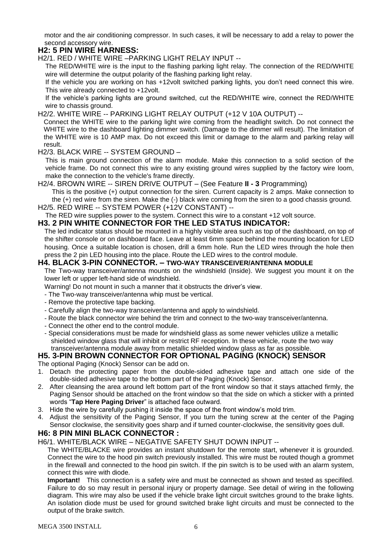motor and the air conditioning compressor. In such cases, it will be necessary to add a relay to power the second accessory wire.

#### **H2: 5 PIN WIRE HARNESS:**

H2/1. RED / WHITE WIRE –PARKING LIGHT RELAY INPUT --

The RED/WHITE wire is the input to the flashing parking light relay. The connection of the RED/WHITE wire will determine the output polarity of the flashing parking light relay.

If the vehicle you are working on has +12volt switched parking lights, you don't need connect this wire. This wire already connected to +12volt.

If the vehicle's parking lights are ground switched, cut the RED/WHITE wire, connect the RED/WHITE wire to chassis ground.

H2/2. WHITE WIRE -- PARKING LIGHT RELAY OUTPUT (+12 V 10A OUTPUT) --

Connect the WHITE wire to the parking light wire coming from the headlight switch. Do not connect the WHITE wire to the dashboard lighting dimmer switch. (Damage to the dimmer will result). The limitation of the WHITE wire is 10 AMP max. Do not exceed this limit or damage to the alarm and parking relay will result.

H2/3. BLACK WIRE -- SYSTEM GROUND –

This is main ground connection of the alarm module. Make this connection to a solid section of the vehicle frame. Do not connect this wire to any existing ground wires supplied by the factory wire loom, make the connection to the vehicle's frame directly.

H2/4. BROWN WIRE -- SIREN DRIVE OUTPUT – (See Feature **II - 3** Programming)

This is the positive (+) output connection for the siren. Current capacity is 2 amps. Make connection to the (+) red wire from the siren. Make the (-) black wire coming from the siren to a good chassis ground. H2/5. RED WIRE -- SYSTEM POWER (+12V CONSTANT) --

The RED wire supplies power to the system. Connect this wire to a constant +12 volt source.

#### **H3. 2 PIN WHITE CONNECTOR FOR THE LED STATUS INDICATOR:**

The led indicator status should be mounted in a highly visible area such as top of the dashboard, on top of the shifter console or on dashboard face. Leave at least 6mm space behind the mounting location for LED housing. Once a suitable location is chosen, drill a 6mm hole. Run the LED wires through the hole then press the 2 pin LED housing into the place. Route the LED wires to the control module.

#### **H4. BLACK 3-PIN CONNECTOR. – TWO-WAY TRANSCEIVER/ANTENNA MODULE**

The Two-way transceiver/antenna mounts on the windshield (Inside). We suggest you mount it on the lower left or upper left-hand side of windshield.

Warning! Do not mount in such a manner that it obstructs the driver's view.

- The Two-way transceiver/antenna whip must be vertical.

- Remove the protective tape backing.
- Carefully align the two-way transceiver/antenna and apply to windshield.
- Route the black connector wire behind the trim and connect to the two-way transceiver/antenna.
- Connect the other end to the control module.
- Special considerations must be made for windshield glass as some newer vehicles utilize a metallic shielded window glass that will inhibit or restrict RF reception. In these vehicle, route the two way transceiver/antenna module away from metallic shielded window glass as far as possible.

#### **H5. 3-PIN BROWN CONNECTOR FOR OPTIONAL PAGING (KNOCK) SENSOR**

The optional Paging (Knock) Sensor can be add on.

- 1. Detach the protecting paper from the double-sided adhesive tape and attach one side of the double-sided adhesive tape to the bottom part of the Paging (Knock) Sensor.
- 2. After cleansing the area around left bottom part of the front window so that it stays attached firmly, the Paging Sensor should be attached on the front window so that the side on which a sticker with a printed words "**Tap Here Paging Driver**" is attached face outward.
- 3. Hide the wire by carefully pushing it inside the space of the front window's mold trim.
- 4. Adjust the sensitivity of the Paging Sensor, If you turn the tuning screw at the center of the Paging Sensor clockwise, the sensitivity goes sharp and if turned counter-clockwise, the sensitivity goes dull.

#### **H6: 8 PIN MINI BLACK CONNECTOR :**

H6/1. WHITE/BLACK WIRE – NEGATIVE SAFETY SHUT DOWN INPUT --

The WHITE/BLACKE wire provides an instant shutdown for the remote start, whenever it is grounded. Connect the wire to the hood pin switch previously installed. This wire must be routed though a grommet in the firewall and connected to the hood pin switch. If the pin switch is to be used with an alarm system, connect this wire with diode.

**Important!** This connection is a safety wire and must be connected as shown and tested as specifiled. Failure to do so may result in personal injury or property damage. See detail of wiring in the following diagram. This wire may also be used if the vehicle brake light circuit switches ground to the brake lights. An isolation diode must be used for ground switched brake light circuits and must be connected to the output of the brake switch.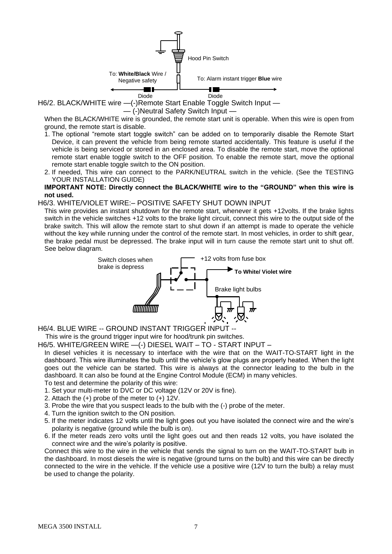

H6/2. BLACK/WHITE wire —(-)Remote Start Enable Toggle Switch Input — — (-)Neutral Safety Switch Input —

When the BLACK/WHITE wire is grounded, the remote start unit is operable. When this wire is open from ground, the remote start is disable.

- 1. The optional "remote start toggle switch" can be added on to temporarily disable the Remote Start Device, it can prevent the vehicle from being remote started accidentally. This feature is useful if the vehicle is being serviced or stored in an enclosed area. To disable the remote start, move the optional remote start enable toggle switch to the OFF position. To enable the remote start, move the optional remote start enable toggle switch to the ON position.
- 2. If needed, This wire can connect to the PARK/NEUTRAL switch in the vehicle. (See the TESTING YOUR INSTALLATION GUIDE)

#### **IMPORTANT NOTE: Directly connect the BLACK/WHITE wire to the "GROUND" when this wire is not used.**

#### H6/3. WHITE/VIOLET WIRE:– POSITIVE SAFETY SHUT DOWN INPUT

This wire provides an instant shutdown for the remote start, whenever it gets +12volts. If the brake lights switch in the vehicle switches +12 volts to the brake light circuit, connect this wire to the output side of the brake switch. This will allow the remote start to shut down if an attempt is made to operate the vehicle without the key while running under the control of the remote start. In most vehicles, in order to shift gear, the brake pedal must be depressed. The brake input will in turn cause the remote start unit to shut off. See below diagram.



H6/4. BLUE WIRE -- GROUND INSTANT TRIGGER INPUT --

This wire is the ground trigger input wire for hood/trunk pin switches.

H6/5. WHITE/GREEN WIRE —(-) DIESEL WAIT – TO - START INPUT –

In diesel vehicles it is necessary to interface with the wire that on the WAIT-TO-START light in the dashboard. This wire illuminates the bulb until the vehicle's glow plugs are properly heated. When the light goes out the vehicle can be started. This wire is always at the connector leading to the bulb in the dashboard. It can also be found at the Engine Control Module (ECM) in many vehicles.

To test and determine the polarity of this wire:

- 1. Set your multi-meter to DVC or DC voltage (12V or 20V is fine).
- 2. Attach the (+) probe of the meter to (+) 12V.
- 3. Probe the wire that you suspect leads to the bulb with the (-) probe of the meter.
- 4. Turn the ignition switch to the ON position.
- 5. If the meter indicates 12 volts until the light goes out you have isolated the connect wire and the wire's polarity is negative (ground while the bulb is on).
- 6. If the meter reads zero volts until the light goes out and then reads 12 volts, you have isolated the connect wire and the wire's polarity is positive.

Connect this wire to the wire in the vehicle that sends the signal to turn on the WAIT-TO-START bulb in the dashboard. In most diesels the wire is negative (ground turns on the bulb) and this wire can be directly connected to the wire in the vehicle. If the vehicle use a positive wire (12V to turn the bulb) a relay must be used to change the polarity.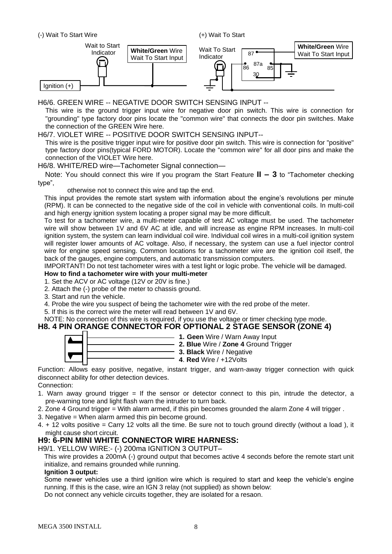(+) Wait To Start



H6/6. GREEN WIRE -- NEGATIVE DOOR SWITCH SENSING INPUT --

This wire is the ground trigger input wire for negative door pin switch. This wire is connection for "grounding" type factory door pins locate the "common wire" that connects the door pin switches. Make the connection of the GREEN Wire here.

#### H6/7. VIOLET WIRE -- POSITIVE DOOR SWITCH SENSING INPUT--

This wire is the positive trigger input wire for positive door pin switch. This wire is connection for "positive" type factory door pins(typical FORD MOTOR). Locate the "common wire" for all door pins and make the connection of the VIOLET Wire here.

#### H6/8. WHITE/RED wire—Tachometer Signal connection—

 Note: You should connect this wire If you program the Start Feature **II – 3** to "Tachometer checking type",

otherwise not to connect this wire and tap the end.

This input provides the remote start system with information about the engine's revolutions per minute (RPM). It can be connected to the negative side of the coil in vehicle with conventional coils. In multi-coil and high energy ignition system locating a proper signal may be more difficult.

To test for a tachometer wire, a multi-meter capable of test AC voltage must be used. The tachometer wire will show between 1V and 6V AC at idle, and will increase as engine RPM increases. In multi-coil ignition system, the system can learn individual coil wire. Individual coil wires in a multi-coil ignition system will register lower amounts of AC voltage. Also, if necessary, the system can use a fuel injector control wire for engine speed sensing. Common locations for a tachometer wire are the ignition coil itself, the back of the gauges, engine computers, and automatic transmission computers.

IMPORTANT! Do not test tachometer wires with a test light or logic probe. The vehicle will be damaged.

#### **How to find a tachometer wire with your multi-meter**

- 1. Set the ACV or AC voltage (12V or 20V is fine.)
- 2. Attach the (-) probe of the meter to chassis ground.
- 3. Start and run the vehicle.
- 4. Probe the wire you suspect of being the tachometer wire with the red probe of the meter.
- 5. If this is the correct wire the meter will read between 1V and 6V.

NOTE: No connection of this wire is required, if you use the voltage or timer checking type mode.

#### **H8. 4 PIN ORANGE CONNECTOR FOR OPTIONAL 2 STAGE SENSOR (ZONE 4)**



**3. Black** Wire / Negative **4**. **Red** Wire / +12Volts

**1. Geen** Wire / Warn Away Input **2. Blue** Wire / **Zone 4** Ground Trigger

Function: Allows easy positive, negative, instant trigger, and warn-away trigger connection with quick disconnect ability for other detection devices.

Connection:

- 1. Warn away ground trigger  $=$  If the sensor or detector connect to this pin, intrude the detector, a pre-warning tone and light flash warn the intruder to turn back.
- 2. Zone 4 Ground trigger = With alarm armed, if this pin becomes grounded the alarm Zone 4 will trigger .
- 3. Negative = When alarm armed this pin become ground.
- 4. + 12 volts positive = Carry 12 volts all the time. Be sure not to touch ground directly (without a load ), it might cause short circuit.

#### **H9: 6-PIN MINI WHITE CONNECTOR WIRE HARNESS:**

H9/1. YELLOW WIRE:- (-) 200ma IGNITION 3 OUTPUT–

This wire provides a 200mA (-) ground output that becomes active 4 seconds before the remote start unit initialize, and remains grounded while running.

#### **Ignition 3 output:**

Some newer vehicles use a third ignition wire which is required to start and keep the vehicle's engine running. If this is the case, wire an IGN 3 relay (not supplied) as shown below:

Do not connect any vehicle circuits together, they are isolated for a resaon.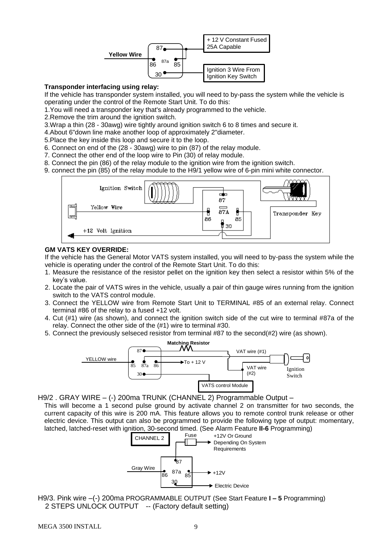

#### **Transponder interfacing using relay:**

 If the vehicle has transponder system installed, you will need to by-pass the system while the vehicle is operating under the control of the Remote Start Unit. To do this:

1.You will need a transponder key that's already programmed to the vehicle.

2.Remove the trim around the ignition switch.

3.Wrap a thin (28 - 30awg) wire tightly around ignition switch 6 to 8 times and secure it.

4.About 6"down line make another loop of approximately 2"diameter.

5.Place the key inside this loop and secure it to the loop.

6. Connect on end of the (28 - 30awg) wire to pin (87) of the relay module.

7. Connect the other end of the loop wire to Pin (30) of relay module.

8. Connect the pin (86) of the relay module to the ignition wire from the ignition switch.

9. connect the pin (85) of the relay module to the H9/1 yellow wire of 6-pin mini white connector.



#### **GM VATS KEY OVERRIDE:**

If the vehicle has the General Motor VATS system installed, you will need to by-pass the system while the vehicle is operating under the control of the Remote Start Unit. To do this:

- 1. Measure the resistance of the resistor pellet on the ignition key then select a resistor within 5% of the key's value.
- 2. Locate the pair of VATS wires in the vehicle, usually a pair of thin gauge wires running from the ignition switch to the VATS control module.
- 3. Connect the YELLOW wire from Remote Start Unit to TERMINAL #85 of an external relay. Connect terminal #86 of the relay to a fused +12 volt.
- 4. Cut (#1) wire (as shown), and connect the ignition switch side of the cut wire to terminal #87a of the relay. Connect the other side of the (#1) wire to terminal #30.
- 5. Connect the previously selseced resistor from terminal #87 to the second(#2) wire (as shown).



H9/2 . GRAY WIRE – (-) 200ma TRUNK (CHANNEL 2) Programmable Output –

This will become a 1 second pulse ground by activate channel 2 on transmitter for two seconds, the current capacity of this wire is 200 mA. This feature allows you to remote control trunk release or other electric device. This output can also be programmed to provide the following type of output: momentary, latched, latched-reset with ignition, 30-second timed. (See Alarm Feature **II-6** Programming)



H9/3. Pink wire –(-) 200ma PROGRAMMABLE OUTPUT (See Start Feature **I – 5** Programming) 2 STEPS UNLOCK OUTPUT -- (Factory default setting)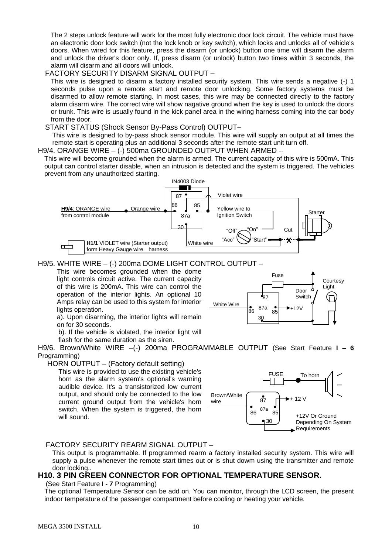The 2 steps unlock feature will work for the most fully electronic door lock circuit. The vehicle must have an electronic door lock switch (not the lock knob or key switch), which locks and unlocks all of vehicle's doors. When wired for this feature, press the disarm (or unlock) button one time will disarm the alarm and unlock the driver's door only. If, press disarm (or unlock) button two times within 3 seconds, the alarm will disarm and all doors will unlock.

#### FACTORY SECURITY DISARM SIGNAL OUTPUT –

This wire is designed to disarm a factory installed security system. This wire sends a negative (-) 1 seconds pulse upon a remote start and remote door unlocking. Some factory systems must be disarmed to allow remote starting. In most cases, this wire may be connected directly to the factory alarm disarm wire. The correct wire will show nagative ground when the key is used to unlock the doors or trunk. This wire is usually found in the kick panel area in the wiring harness coming into the car body from the door.

#### START STATUS (Shock Sensor By-Pass Control) OUTPUT–

This wire is designed to by-pass shock sensor module. This wire will supply an output at all times the remote start is operating plus an additional 3 seconds after the remote start unit turn off.

H9/4. ORANGE WIRE – (-) 500ma GROUNDED OUTPUT WHEN ARMED --

This wire will become grounded when the alarm is armed. The current capacity of this wire is 500mA. This output can control starter disable, when an intrusion is detected and the system is triggered. The vehicles prevent from any unauthorized starting.



#### H9/5. WHITE WIRE – (-) 200ma DOME LIGHT CONTROL OUTPUT –

This wire becomes grounded when the dome light controls circuit active. The current capacity of this wire is 200mA. This wire can control the operation of the interior lights. An optional 10 Amps relay can be used to this system for interior lights operation.



a). Upon disarming, the interior lights will remain on for 30 seconds. b). If the vehicle is violated, the interior light will

flash for the same duration as the siren.

H9/6. Brown/White WIRE –(-) 200ma PROGRAMMABLE OUTPUT (See Start Feature **I – 6** Programming)

HORN OUTPUT – (Factory default setting)

This wire is provided to use the existing vehicle's horn as the alarm system's optional's warning audible device. It's a transistorized low current output, and should only be connected to the low current ground output from the vehicle's horn switch. When the system is triggered, the horn will sound.



#### FACTORY SECURITY REARM SIGNAL OUTPUT –

This output is programmable. If programmed rearm a factory installed security system. This wire will supply a pulse whenever the remote start times out or is shut dowm using the transmitter and remote door locking..

#### **H10. 3 PIN GREEN CONNECTOR FOR OPTIONAL TEMPERATURE SENSOR.**

(See Start Feature **I - 7** Programming)

The optional Temperature Sensor can be add on. You can monitor, through the LCD screen, the present indoor temperature of the passenger compartment before cooling or heating your vehicle.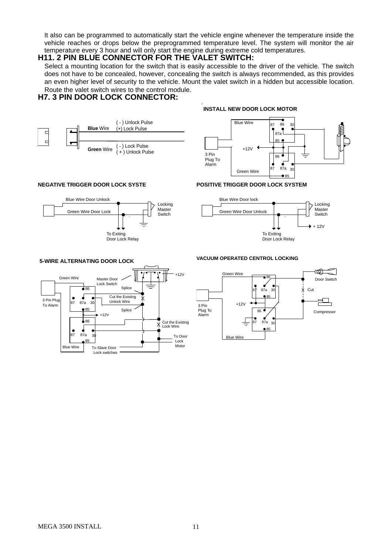It also can be programmed to automatically start the vehicle engine whenever the temperature inside the vehicle reaches or drops below the preprogrammed temperature level. The system will monitor the air temperature every 3 hour and will only start the engine during extreme cold temperatures.

#### **H11. 2 PIN BLUE CONNECTOR FOR THE VALET SWITCH:**

Select a mounting location for the switch that is easily accessible to the driver of the vehicle. The switch does not have to be concealed, however, concealing the switch is always recommended, as this provides an even higher level of security to the vehicle. Mount the valet switch in a hidden but accessible location. Route the valet switch wires to the control module.

I

#### **H7. 3 PIN DOOR LOCK CONNECTOR:**









#### **VACUUM OPERATED CENTROL LOCKING**

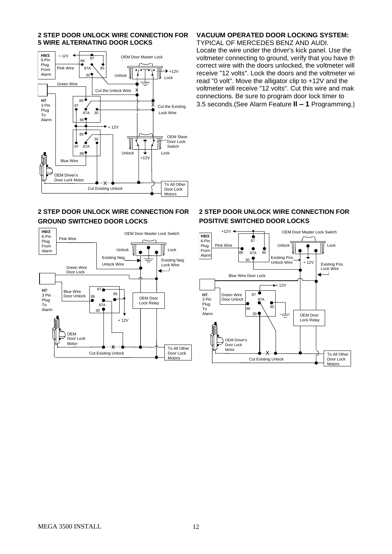#### **2 STEP DOOR UNLOCK WIRE CONNECTION FOR 5 WIRE ALTERNATING DOOR LOCKS**



#### **2 STEP DOOR UNLOCK WIRE CONNECTION FOR GROUND SWITCHED DOOR LOCKS**



#### **VACUUM OPERATED DOOR LOCKING SYSTEM:**

TYPICAL OF MERCEDES BENZ AND AUDI. Locate the wire under the driver's kick panel. Use the voltmeter connecting to ground, verify that you have the correct wire with the doors unlocked, the voltmeter will receive "12 volts". Lock the doors and the voltmeter will read "0 volt". Move the alligator clip to +12V and the voltmeter will receive "12 volts". Cut this wire and make connections. Be sure to program door lock timer to 3.5 seconds.(See Alarm Feature **II – 1** Programming.)

#### **2 STEP DOOR UNLOCK WIRE CONNECTION FOR POSITIVE SWITCHED DOOR LOCKS**

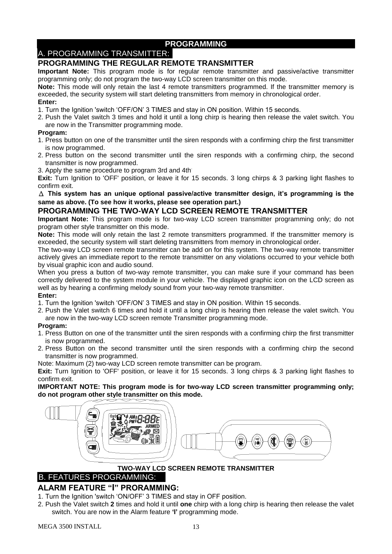### **PROGRAMMING**

# A. PROGRAMMING TRANSMITTER:

#### **PROGRAMMING THE REGULAR REMOTE TRANSMITTER**

**Important Note:** This program mode is for regular remote transmitter and passive/active transmitter programming only; do not program the two-way LCD screen transmitter on this mode.

**Note:** This mode will only retain the last 4 remote transmitters programmed. If the transmitter memory is exceeded, the security system will start deleting transmitters from memory in chronological order.

#### **Enter:**

- 1. Turn the Ignition 'switch 'OFF/ON' 3 TIMES and stay in ON position. Within 15 seconds.
- 2. Push the Valet switch 3 times and hold it until a long chirp is hearing then release the valet switch. You are now in the Transmitter programming mode.

#### **Program:**

- 1. Press button on one of the transmitter until the siren responds with a confirming chirp the first transmitter is now programmed.
- 2. Press button on the second transmitter until the siren responds with a confirming chirp, the second transmitter is now programmed.
- 3. Apply the same procedure to program 3rd and 4th.

**Exit:** Turn Ignition to 'OFF' position, or leave it for 15 seconds. 3 long chirps & 3 parking light flashes to confirm exit.

Δ **This system has an unique optional passive/active transmitter design, it's programming is the same as above. (To see how it works, please see operation part.)**

#### **PROGRAMMING THE TWO-WAY LCD SCREEN REMOTE TRANSMITTER**

**Important Note:** This program mode is for two-way LCD screen transmitter programming only; do not program other style transmitter on this mode.

**Note:** This mode will only retain the last 2 remote transmitters programmed. If the transmitter memory is exceeded, the security system will start deleting transmitters from memory in chronological order.

The two-way LCD screen remote transmitter can be add on for this system. The two-way remote transmitter actively gives an immediate report to the remote transmitter on any violations occurred to your vehicle both by visual graphic icon and audio sound.

When you press a button of two-way remote transmitter, you can make sure if your command has been correctly delivered to the system module in your vehicle. The displayed graphic icon on the LCD screen as well as by hearing a confirming melody sound from your two-way remote transmitter.

#### **Enter:**

1. Turn the Ignition 'switch 'OFF/ON' 3 TIMES and stay in ON position. Within 15 seconds.

2. Push the Valet switch 6 times and hold it until a long chirp is hearing then release the valet switch. You are now in the two-way LCD screen remote Transmitter programming mode.

#### **Program:**

- 1. Press Button on one of the transmitter until the siren responds with a confirming chirp the first transmitter is now programmed.
- 2. Press Button on the second transmitter until the siren responds with a confirming chirp the second transmitter is now programmed.

Note: Maximum (2) two-way LCD screen remote transmitter can be program.

**Exit:** Turn Ignition to 'OFF' position, or leave it for 15 seconds. 3 long chirps & 3 parking light flashes to confirm exit.

**IMPORTANT NOTE: This program mode is for two-way LCD screen transmitter programming only; do not program other style transmitter on this mode.**



#### **TWO-WAY LCD SCREEN REMOTE TRANSMITTER**

# B. FEATURES PROGRAMMING:

#### **ALARM FEATURE "I" PRORAMMING:**

- 1. Turn the Ignition 'switch 'ON/OFF' 3 TIMES and stay in OFF position.
- 2. Push the Valet switch **2** times and hold it until **one** chirp with a long chirp is hearing then release the valet switch. You are now in the Alarm feature **'I'** programming mode.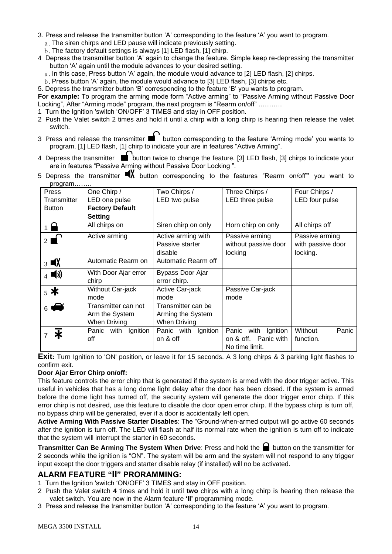- 3. Press and release the transmitter button 'A' corresponding to the feature 'A' you want to program.
	- a. The siren chirps and LED pause will indicate previously setting.
	- b.The factory default settings is always [1] LED flash, [1] chirp.
- 4 Depress the transmitter button 'A' again to change the feature. Simple keep re-depressing the transmitter button 'A' again until the module advances to your desired setting.
	- a. In this case, Press button 'A' again, the module would advance to [2] LED flash, [2] chirps.
	- b. Press button 'A' again, the module would advance to [3] LED flash, [3] chirps etc.
- 5. Depress the transmitter button 'B' corresponding to the feature 'B' you wants to program.

**For example:** To program the arming mode form "Active arming" to "Passive Arming without Passive Door Locking", After "Arming mode" program, the next program is "Rearm on/off" .……….

- 1 Turn the Ignition 'switch 'ON/OFF' 3 TIMES and stay in OFF position.
- 2 Push the Valet switch 2 times and hold it until a chirp with a long chirp is hearing then release the valet switch.
- 3 Press and release the transmitter  $\blacksquare$  button corresponding to the feature 'Arming mode' you wants to program. [1] LED flash, [1] chirp to indicate your are in features "Active Arming".
- 4 Depress the transmitter  $\blacksquare$  button twice to change the feature. [3] LED flash, [3] chirps to indicate your are in features "Passive Arming without Passive Door Locking ".
- 5 Depress the transmitter  $\blacksquare X$  button corresponding to the features "Rearm on/off"' you want to program……..

| Press                                   | One Chirp /            | Two Chirps /           | Three Chirps /         | Four Chirps /     |
|-----------------------------------------|------------------------|------------------------|------------------------|-------------------|
| Transmitter                             | LED one pulse          | LED two pulse          | LED three pulse        | LED four pulse    |
| <b>Button</b>                           | <b>Factory Default</b> |                        |                        |                   |
|                                         | <b>Setting</b>         |                        |                        |                   |
| $1\Omega$                               | All chirps on          | Siren chirp on only    | Horn chirp on only     | All chirps off    |
|                                         | Active arming          | Active arming with     | Passive arming         | Passive arming    |
|                                         |                        | Passive starter        | without passive door   | with passive door |
|                                         |                        | disable                | locking                | locking.          |
| $3 \blacksquare X$                      | Automatic Rearm on     | Automatic Rearm off    |                        |                   |
| $_4$ (i)                                | With Door Ajar error   | Bypass Door Ajar       |                        |                   |
|                                         | chirp                  | error chirp.           |                        |                   |
| Without Car-jack<br>$5*$                |                        | Active Car-jack        | Passive Car-jack       |                   |
|                                         | mode                   | mode                   | mode                   |                   |
| $\blacktriangleright$<br>6 <sup>1</sup> | Transmitter can not    | Transmitter can be     |                        |                   |
|                                         | Arm the System         | Arming the System      |                        |                   |
|                                         | When Driving           | <b>When Driving</b>    |                        |                   |
| Ж                                       | Ignition<br>Panic with | Panic with<br>Ignition | Ignition<br>Panic with | Without<br>Panic  |
|                                         | off                    | on & off               | on & off. Panic with   | function.         |
|                                         |                        |                        | No time limit.         |                   |
|                                         |                        |                        |                        |                   |

**Exit**: Turn Ignition to 'ON' position, or leave it for 15 seconds. A 3 long chirps & 3 parking light flashes to confirm exit.

#### **Door Ajar Error Chirp on/off:**

This feature controls the error chirp that is generated if the system is armed with the door trigger active. This useful in vehicles that has a long dome light delay after the door has been closed. If the system is armed before the dome light has turned off, the security system will generate the door trigger error chirp. If this error chirp is not desired, use this feature to disable the door open error chirp. If the bypass chirp is turn off, no bypass chirp will be generated, ever if a door is accidentally left open.

**Active Arming With Passive Starter Disables**: The "Ground-when-armed output will go active 60 seconds after the ignition is turn off. The LED will flash at half its normal rate when the ignition is turn off to indicate that the system will interrupt the starter in 60 seconds.

**Transmitter Can Be Arming The System When Drive: Press and hold the button on the transmitter for** 2 seconds while the ignition is "ON". The system will be arm and the system will not respond to any trigger input except the door triggers and starter disable relay (if installed) will no be activated.

#### **ALARM FEATURE "II" PRORAMMING:**

- 1 Turn the Ignition 'switch 'ON/OFF' 3 TIMES and stay in OFF position.
- 2 Push the Valet switch **4** times and hold it until **two** chirps with a long chirp is hearing then release the valet switch. You are now in the Alarm feature **'II'** programming mode.
- 3 Press and release the transmitter button 'A' corresponding to the feature 'A' you want to program.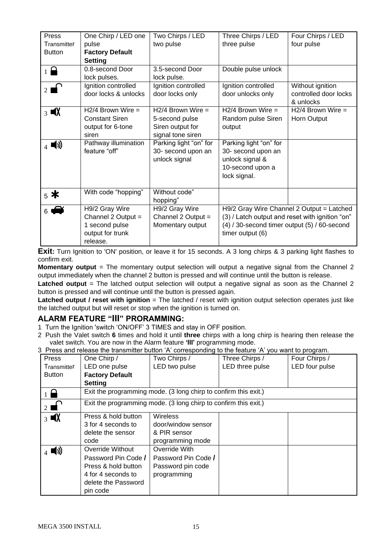| Press                         | One Chirp / LED one    | Two Chirps / LED       | Three Chirps / LED                               | Four Chirps / LED                               |
|-------------------------------|------------------------|------------------------|--------------------------------------------------|-------------------------------------------------|
| Transmitter                   | pulse                  | two pulse              | three pulse                                      | four pulse                                      |
| <b>Button</b>                 | <b>Factory Default</b> |                        |                                                  |                                                 |
|                               | <b>Setting</b>         |                        |                                                  |                                                 |
| $\overline{1}$ $\overline{a}$ | 0.8-second Door        | 3.5-second Door        | Double pulse unlock                              |                                                 |
|                               | lock pulses.           | lock pulse.            |                                                  |                                                 |
| $2 \overrightarrow{ }$        | Ignition controlled    | Ignition controlled    | Ignition controlled                              | Without ignition                                |
|                               | door locks & unlocks   | door locks only        | door unlocks only                                | controlled door locks                           |
|                               |                        |                        |                                                  | & unlocks                                       |
| $\frac{1}{3}$ $\blacksquare$  | $H2/4$ Brown Wire =    | $H2/4$ Brown Wire =    | $H2/4$ Brown Wire =                              | $H2/4$ Brown Wire =                             |
|                               | <b>Constant Siren</b>  | 5-second pulse         | Random pulse Siren                               | Horn Output                                     |
|                               | output for 6-tone      | Siren output for       | output                                           |                                                 |
|                               | siren                  | signal tone siren      |                                                  |                                                 |
| ■())                          | Pathway illumination   | Parking light "on" for | Parking light "on" for                           |                                                 |
|                               | feature "off"          | 30- second upon an     | 30- second upon an                               |                                                 |
|                               |                        | unlock signal          | unlock signal &                                  |                                                 |
|                               |                        |                        | 10-second upon a                                 |                                                 |
|                               |                        |                        | lock signal.                                     |                                                 |
|                               |                        |                        |                                                  |                                                 |
| $_5$ *                        | With code "hopping"    | Without code"          |                                                  |                                                 |
|                               |                        | hopping"               |                                                  |                                                 |
| 6 <sup>1</sup>                | H9/2 Gray Wire         | H9/2 Gray Wire         |                                                  | H9/2 Gray Wire Channel 2 Output = Latched       |
|                               | Channel $2$ Output =   | Channel 2 Output =     |                                                  | (3) / Latch output and reset with ignition "on" |
|                               | 1 second pulse         | Momentary output       | $(4)$ / 30-second timer output $(5)$ / 60-second |                                                 |
|                               | output for trunk       |                        | timer output (6)                                 |                                                 |
|                               | release.               |                        |                                                  |                                                 |

**Exit:** Turn Ignition to 'ON' position, or leave it for 15 seconds. A 3 long chirps & 3 parking light flashes to confirm exit.

**Momentary output** = The momentary output selection will output a negative signal from the Channel 2 output immediately when the channel 2 button is pressed and will continue until the button is release.

Latched output = The latched output selection will output a negative signal as soon as the Channel 2 button is pressed and will continue until the button is pressed again.

**Latched output / reset with ignition** = The latched / reset with ignition output selection operates just like the latched output but will reset or stop when the ignition is turned on.

#### **ALARM FEATURE "III" PRORAMMING:**

1 Turn the Ignition 'switch 'ON/OFF' 3 TIMES and stay in OFF position.

- 2 Push the Valet switch **6** times and hold it until **three** chirps with a long chirp is hearing then release the valet switch. You are now in the Alarm feature **'III'** programming mode.
- 3 Press and release the transmitter button 'A' corresponding to the feature 'A' you want to program.

| <b>Press</b>       | One Chirp /                                                     | Two Chirps /                                                    | Three Chirps /  | Four Chirps /  |
|--------------------|-----------------------------------------------------------------|-----------------------------------------------------------------|-----------------|----------------|
| Transmitter        | LED one pulse                                                   | LED two pulse                                                   | LED three pulse | LED four pulse |
| <b>Button</b>      | <b>Factory Default</b>                                          |                                                                 |                 |                |
|                    | <b>Setting</b>                                                  |                                                                 |                 |                |
|                    |                                                                 | Exit the programming mode. (3 long chirp to confirm this exit.) |                 |                |
| $\mathbb{F}_2$     | Exit the programming mode. (3 long chirp to confirm this exit.) |                                                                 |                 |                |
| $3 \blacksquare X$ | Press & hold button                                             | <b>Wireless</b>                                                 |                 |                |
|                    | 3 for 4 seconds to                                              | door/window sensor                                              |                 |                |
|                    | delete the sensor                                               | & PIR sensor                                                    |                 |                |
|                    | code                                                            | programming mode                                                |                 |                |
| (()                | Override Without                                                | Override With                                                   |                 |                |
|                    | Password Pin Code /                                             | Password Pin Code /                                             |                 |                |
|                    | Press & hold button                                             | Password pin code                                               |                 |                |
|                    | 4 for 4 seconds to                                              | programming                                                     |                 |                |
|                    | delete the Password                                             |                                                                 |                 |                |
|                    | pin code                                                        |                                                                 |                 |                |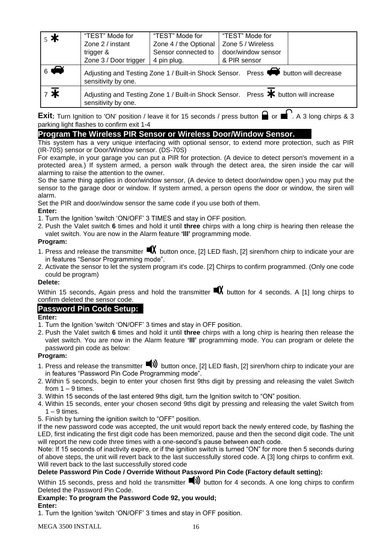| $5*$                       | "TEST" Mode for                                                                                                         | "TEST" Mode for       | "TEST" Mode for    |  |
|----------------------------|-------------------------------------------------------------------------------------------------------------------------|-----------------------|--------------------|--|
|                            | Zone 2 / instant                                                                                                        | Zone 4 / the Optional | Zone 5 / Wireless  |  |
|                            | trigger &                                                                                                               | Sensor connected to   | door/window sensor |  |
|                            | Zone 3 / Door trigger                                                                                                   | 4 pin plug.           | & PIR sensor       |  |
| $\overline{6}$             | Adjusting and Testing Zone 1 / Built-in Shock Sensor. Press $\blacklozenge$ button will decrease<br>sensitivity by one. |                       |                    |  |
| $7\overline{\frac{1}{15}}$ | Adjusting and Testing Zone 1 / Built-in Shock Sensor. Press * button will increase<br>sensitivity by one.               |                       |                    |  |

**Exit:** Turn Ignition to 'ON' position / leave it for 15 seconds / press button **a** or **a**. A 3 long chirps & 3 parking light flashes to confirm exit 1-4

#### **Program The Wireless PIR Sensor or Wireless Door/Window Sensor.**

This system has a very unique interfacing with optional sensor, to extend more protection, such as PIR (IR-70S) sensor or Door/Window sensor. (DS-70S)

For example, in your garage you can put a PIR for protection. (A device to detect person's movement in a protected area.) If system armed, a person walk through the detect area, the siren inside the car will alarming to raise the attention to the owner.

So the same thing applies in door/window sensor, (A device to detect door/window open.) you may put the sensor to the garage door or window. If system armed, a person opens the door or window, the siren will alarm.

Set the PIR and door/window sensor the same code if you use both of them.

#### **Enter:**

- 1. Turn the Ignition 'switch 'ON/OFF' 3 TIMES and stay in OFF position.
- 2. Push the Valet switch **6** times and hold it until **three** chirps with a long chirp is hearing then release the valet switch. You are now in the Alarm feature **'III'** programming mode.

#### **Program:**

- 1. Press and release the transmitter  $\blacksquare$  button once, [2] LED flash, [2] siren/horn chirp to indicate your are in features "Sensor Programming mode".
- 2. Activate the sensor to let the system program it's code. [2] Chirps to confirm programmed. (Only one code could be program)

#### **Delete:**

Within 15 seconds, Again press and hold the transmitter  $\blacksquare X$  button for 4 seconds. A [1] long chirps to confirm deleted the sensor code.

#### **Password Pin Code Setup:**

#### **Enter:**

- 1. Turn the Ignition 'switch 'ON/OFF' 3 times and stay in OFF position.
- 2. Push the Valet switch **6** times and hold it until **three** chirps with a long chirp is hearing then release the valet switch. You are now in the Alarm feature **'III'** programming mode. You can program or delete the password pin code as below:

#### **Program:**

- 1. Press and release the transmitter  $\blacktriangleleft$  button once, [2] LED flash, [2] siren/horn chirp to indicate your are in features "Password Pin Code Programming mode".
- 2. Within 5 seconds, begin to enter your chosen first 9ths digit by pressing and releasing the valet Switch from  $1 - 9$  times.
- 3. Within 15 seconds of the last entered 9ths digit, turn the Ignition switch to "ON" position.
- 4. Within 15 seconds, enter your chosen second 9ths digit by pressing and releasing the valet Switch from  $1 - 9$  times.
- 5. Finish by turning the ignition switch to "OFF" position.

If the new password code was accepted, the unit would report back the newly entered code, by flashing the LED, first indicating the first digit code has been memorized, pause and then the second digit code. The unit will report the new code three times with a one-second's pause between each code.

Note: If 15 seconds of inactivity expire, or if the ignition switch is turned "ON" for more then 5 seconds during of above steps, the unit will revert back to the last successfully stored code. A [3] long chirps to confirm exit. Will revert back to the last successfully stored code

# **Delete Password Pin Code / Override Without Password Pin Code (Factory default setting):**

Within 15 seconds, press and hold the transmitter  $\blacksquare$ ) button for 4 seconds. A one long chirps to confirm Deleted the Password Pin Code.

#### **Example: To program the Password Code 92, you would; Enter:**

1. Turn the Ignition 'switch 'ON/OFF' 3 times and stay in OFF position.

MEGA 3500 INSTALL 16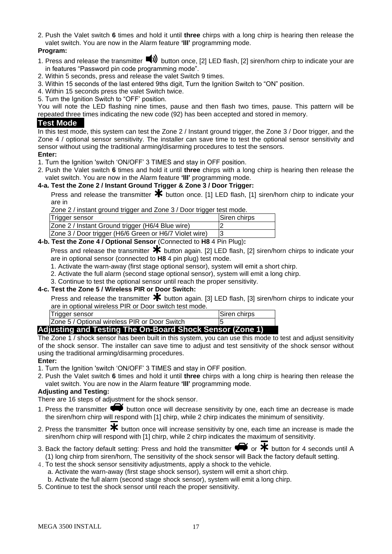2. Push the Valet switch **6** times and hold it until **three** chirps with a long chirp is hearing then release the valet switch. You are now in the Alarm feature **'III'** programming mode.

#### **Program:**

- 1. Press and release the transmitter  $\blacksquare$ ) button once, [2] LED flash, [2] siren/horn chirp to indicate your are in features "Password pin code programming mode".
- 2. Within 5 seconds, press and release the valet Switch 9 times.
- 3. Within 15 seconds of the last entered 9ths digit, Turn the Ignition Switch to "ON" position.
- 4. Within 15 seconds press the valet Switch twice.
- 5. Turn the Ignition Switch to "OFF' position.

You will note the LED flashing nine times, pause and then flash two times, pause. This pattern will be repeated three times indicating the new code (92) has been accepted and stored in memory.

#### **Test Mode**

In this test mode, this system can test the Zone 2 / Instant ground trigger, the Zone 3 / Door trigger, and the Zone 4 / optional sensor sensitivity. The installer can save time to test the optional sensor sensitivity and sensor without using the traditional arming/disarming procedures to test the sensors.

#### **Enter:**

- 1. Turn the Ignition 'switch 'ON/OFF' 3 TIMES and stay in OFF position.
- 2. Push the Valet switch **6** times and hold it until **three** chirps with a long chirp is hearing then release the valet switch. You are now in the Alarm feature **'III'** programming mode.

#### **4-a. Test the Zone 2 / Instant Ground Trigger & Zone 3 / Door Trigger:**

Press and release the transmitter  $*$  button once. [1] LED flash, [1] siren/horn chirp to indicate your are in

Zone 2 / instant ground trigger and Zone 3 / Door trigger test mode.

| ັບ                                                                       |              |
|--------------------------------------------------------------------------|--------------|
| Trigger sensor                                                           | Siren chirps |
| Zone 2 / Instant Ground trigger (H6/4 Blue wire)                         |              |
| Zone 3 / Door trigger (H6/6 Green or H6/7 Violet wire)                   |              |
| <b>h</b> Test the Zone A I Ontional Sensor (Connected to H8 A Pin Plug): |              |

# **4-b. Test the Zone 4 / Optional Sensor** (Connected to **H8** 4 Pin Plug)**:**

Press and release the transmitter  $\bigstar$  button again. [2] LED flash, [2] siren/horn chirps to indicate your are in optional sensor (connected to **H8** 4 pin plug) test mode.

1. Activate the warn-away (first stage optional sensor), system will emit a short chirp.

2. Activate the full alarm (second stage optional sensor), system will emit a long chirp.

3. Continue to test the optional sensor until reach the proper sensitivity.

#### **4-c. Test the Zone 5 / Wireless PIR or Door Switch:**

Press and release the transmitter  $*$  button again. [3] LED flash, [3] siren/horn chirps to indicate your are in optional wireless PIR or Door switch test mode.

| Trigger sensor                                           | Siren chirps |
|----------------------------------------------------------|--------------|
| <b>Zone 5 / Optional wireless PIR or Door Switch</b>     |              |
| Adjusting and Testing The On-Board Shock Sensor (Zone 1) |              |

#### The Zone 1 / shock sensor has been built in this system, you can use this mode to test and adjust sensitivity of the shock sensor. The installer can save time to adjust and test sensitivity of the shock sensor without using the traditional arming/disarming procedures.

#### **Enter:**

1. Turn the Ignition 'switch 'ON/OFF' 3 TIMES and stay in OFF position.

2. Push the Valet switch **6** times and hold it until **three** chirps with a long chirp is hearing then release the valet switch. You are now in the Alarm feature **'III'** programming mode.

#### **Adjusting and Testing:**

There are 16 steps of adjustment for the shock sensor.

- 1. Press the transmitter  $\blacklozenge\blacklozenge$  button once will decrease sensitivity by one, each time an decrease is made the siren/horn chirp will respond with [1] chirp, while 2 chirp indicates the minimum of sensitivity.
- 2. Press the transmitter  $\bigstar$  button once will increase sensitivity by one, each time an increase is made the siren/horn chirp will respond with [1] chirp, while 2 chirp indicates the maximum of sensitivity.
- 3. Back the factory default setting: Press and hold the transmitter  $\blacklozenge$  or  $\blacktriangleright$  button for 4 seconds until A (1) long chirp from siren/horn, The sensitivity of the shock sensor will Back the factory default setting.
- 4.To test the shock sensor sensitivity adjustments, apply a shock to the vehicle.
	- a. Activate the warn-away (first stage shock sensor), system will emit a short chirp.
	- b. Activate the full alarm (second stage shock sensor), system will emit a long chirp.
- 5. Continue to test the shock sensor until reach the proper sensitivity.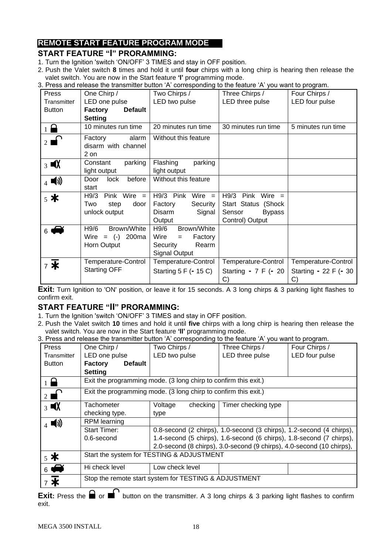# **REMOTE START FEATURE PROGRAM MODE**

#### **START FEATURE "I" PRORAMMING:**

- 1. Turn the Ignition 'switch 'ON/OFF' 3 TIMES and stay in OFF position.
- 2. Push the Valet switch **8** times and hold it until **four** chirps with a long chirp is hearing then release the valet switch. You are now in the Start feature **'I'** programming mode.
- 3. Press and release the transmitter button 'A' corresponding to the feature 'A' you want to program.

| Press                   | One Chirp /               | Two Chirps /           | Three Chirps /                        | ວຫ້າ: ຜ. . ເວົ້ <sub>າ</sub> ບ້ອງ. ຜ.<br>Four Chirps / |
|-------------------------|---------------------------|------------------------|---------------------------------------|--------------------------------------------------------|
| Transmitter             | LED one pulse             | LED two pulse          | LED three pulse                       | LED four pulse                                         |
| <b>Button</b>           | <b>Default</b><br>Factory |                        |                                       |                                                        |
|                         | <b>Setting</b>            |                        |                                       |                                                        |
| $\overline{1}$ $\Omega$ | 10 minutes run time       | 20 minutes run time    | 30 minutes run time                   | 5 minutes run time                                     |
|                         | alarm<br>Factory          | Without this feature   |                                       |                                                        |
|                         | disarm with channel       |                        |                                       |                                                        |
|                         | 2 on                      |                        |                                       |                                                        |
| $3 \blacksquare X$      | parking<br>Constant       | Flashing<br>parking    |                                       |                                                        |
|                         | light output              | light output           |                                       |                                                        |
| $_4$ (i)                | before<br>Door<br>lock    | Without this feature   |                                       |                                                        |
|                         | start                     |                        |                                       |                                                        |
| $5*$                    | $H9/3$ Pink Wire =        | H9/3 Pink<br>Wire $=$  | H9/3<br>Pink Wire $=$                 |                                                        |
|                         | Two<br>door<br>step       | Factory<br>Security    | Start Status (Shock                   |                                                        |
|                         | unlock output             | Disarm<br>Signal       | <b>Bypass</b><br>Sensor               |                                                        |
|                         |                           | Output                 | Control) Output                       |                                                        |
| $6 \blacktriangle$      | H9/6<br>Brown/White       | H9/6<br>Brown/White    |                                       |                                                        |
|                         | Wire = $(-)$ 200ma        | Wire<br>Factory<br>$=$ |                                       |                                                        |
|                         | Horn Output               | Security<br>Rearm      |                                       |                                                        |
|                         |                           | <b>Signal Output</b>   |                                       |                                                        |
| $7*$                    | Temperature-Control       | Temperature-Control    | Temperature-Control                   | Temperature-Control                                    |
|                         | <b>Starting OFF</b>       | Starting 5 F (- 15 C)  | Starting - 7 F (- 20<br>$\mathcal{C}$ | Starting - 22 F (- 30<br>C)                            |

**Exit:** Turn Ignition to 'ON' position, or leave it for 15 seconds. A 3 long chirps & 3 parking light flashes to confirm exit.

#### **START FEATURE "II" PRORAMMING:**

- 1. Turn the Ignition 'switch 'ON/OFF' 3 TIMES and stay in OFF position.
- 2. Push the Valet switch **10** times and hold it until **five** chirps with a long chirp is hearing then release the valet switch. You are now in the Start feature **'II'** programming mode.
- 3. Press and release the transmitter button 'A' corresponding to the feature 'A' you want to program.

| Press                         | and release the transmitter satten in conceptioning to the loaters in four main to program.<br>One Chirp / | Two Chirps /        | Three Chirps /                                                        | Four Chirps /  |
|-------------------------------|------------------------------------------------------------------------------------------------------------|---------------------|-----------------------------------------------------------------------|----------------|
|                               |                                                                                                            |                     |                                                                       |                |
| Transmitter                   | LED one pulse                                                                                              | LED two pulse       | LED three pulse                                                       | LED four pulse |
| <b>Button</b>                 | <b>Factory</b><br><b>Default</b>                                                                           |                     |                                                                       |                |
|                               | <b>Setting</b>                                                                                             |                     |                                                                       |                |
| $\overline{1}$ $\overline{a}$ | Exit the programming mode. (3 long chirp to confirm this exit.)                                            |                     |                                                                       |                |
| $2 \blacksquare$              | Exit the programming mode. (3 long chirp to confirm this exit.)                                            |                     |                                                                       |                |
| $3 \blacksquare X$            | Tachometer                                                                                                 | checking<br>Voltage | Timer checking type                                                   |                |
|                               | checking type.                                                                                             | type                |                                                                       |                |
| $_4$ (i)                      | <b>RPM</b> learning                                                                                        |                     |                                                                       |                |
|                               | <b>Start Timer:</b>                                                                                        |                     | 0.8-second (2 chirps), 1.0-second (3 chirps), 1.2-second (4 chirps),  |                |
|                               | 0.6-second                                                                                                 |                     | 1.4-second (5 chirps), 1.6-second (6 chirps), 1.8-second (7 chirps),  |                |
|                               |                                                                                                            |                     | 2.0-second (8 chirps), 3.0-second (9 chirps), 4.0-second (10 chirps), |                |
| $_5$ *                        | Start the system for TESTING & ADJUSTMENT                                                                  |                     |                                                                       |                |
| $6 \Leftrightarrow$           | Hi check level                                                                                             | Low check level     |                                                                       |                |
|                               | Stop the remote start system for TESTING & ADJUSTMENT                                                      |                     |                                                                       |                |

**Exit:** Press the **o** or **o** button on the transmitter. A 3 long chirps & 3 parking light flashes to confirm exit.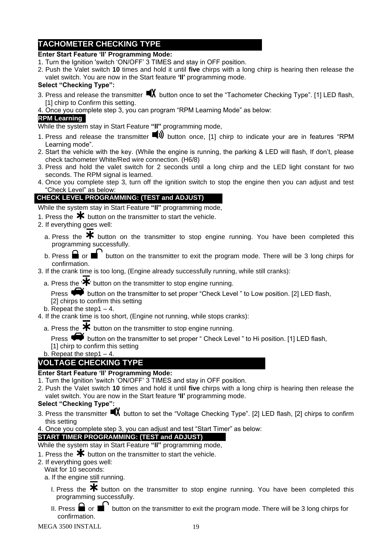# **TACHOMETER CHECKING TYPE**

#### **Enter Start Feature 'II' Programming Mode:**

- 1. Turn the Ignition 'switch 'ON/OFF' 3 TIMES and stay in OFF position.
- 2. Push the Valet switch **10** times and hold it until **five** chirps with a long chirp is hearing then release the valet switch. You are now in the Start feature **'II'** programming mode.

#### **Select "Checking Type":**

- 3. Press and release the transmitter  $\blacksquare X$  button once to set the "Tachometer Checking Type". [1] LED flash, [1] chirp to Confirm this setting.
- 4. Once you complete step 3, you can program "RPM Learning Mode" as below:

#### **RPM Learning**

While the system stay in Start Feature **"II"** programming mode,

- 1. Press and release the transmitter  $\blacksquare$ ) button once. [1] chirp to indicate your are in features "RPM Learning mode".
- 2. Start the vehicle with the key. (While the engine is running, the parking & LED will flash, If don't, please check tachometer White/Red wire connection. (H6/8)
- 3. Press and hold the valet switch for 2 seconds until a long chirp and the LED light constant for two seconds. The RPM signal is learned.
- 4. Once you complete step 3, turn off the ignition switch to stop the engine then you can adjust and test "Check Level" as below:

# **CHECK LEVEL PROGRAMMING: (TEST and ADJUST)**

While the system stay in Start Feature **"II"** programming mode,

- 1. Press the  $*$  button on the transmitter to start the vehicle.
- 2. If everything goes well:
	- a. Press the  $\mathbf{\divideontimes}$  button on the transmitter to stop engine running. You have been completed this programming successfully.
	- b. Press  $\blacksquare$  or  $\blacksquare$  button on the transmitter to exit the program mode. There will be 3 long chirps for confirmation.
- 3. If the crank time is too long, (Engine already successfully running, while still cranks):
	- a. Press the  $\mathbf{\mathcal{F}}$  button on the transmitter to stop engine running.

Press  $\blacklozenge\blacklozenge$  button on the transmitter to set proper "Check Level " to Low position. [2] LED flash, [2] chirps to confirm this setting

- b. Repeat the step1 $-4$ .
- 4. If the crank time is too short, (Engine not running, while stops cranks):
	- a. Press the  $*$  button on the transmitter to stop engine running.

Press  $\bullet$  button on the transmitter to set proper " Check Level " to Hi position. [1] LED flash, [1] chirp to confirm this setting

b. Repeat the step1  $-4$ .

# **VOLTAGE CHECKING TYPE**

#### **Enter Start Feature 'II' Programming Mode:**

- 1. Turn the Ignition 'switch 'ON/OFF' 3 TIMES and stay in OFF position.
- 2. Push the Valet switch **10** times and hold it until **five** chirps with a long chirp is hearing then release the valet switch. You are now in the Start feature **'II'** programming mode.

#### **Select "Checking Type":**

- 3. Press the transmitter  $\blacksquare X$  button to set the "Voltage Checking Type". [2] LED flash, [2] chirps to confirm this setting
- 4. Once you complete step 3, you can adjust and test "Start Timer" as below:

#### **START TIMER PROGRAMMING: (TEST and ADJUST)**

- While the system stay in Start Feature **"II"** programming mode,
- 1. Press the  $*$  button on the transmitter to start the vehicle.
- 2. If everything goes well:
- Wait for 10 seconds:
	- a. If the engine still running.
		- I. Press the  $\mathbf{\divideontimes}$  button on the transmitter to stop engine running. You have been completed this programming successfully.
		- II. Press  $\blacksquare$  or  $\blacksquare$  button on the transmitter to exit the program mode. There will be 3 long chirps for confirmation.

MEGA 3500 INSTALL 19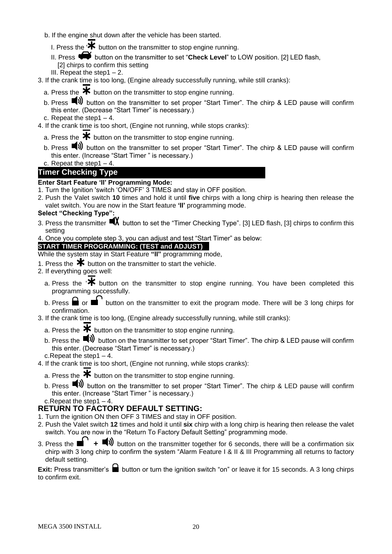- b. If the engine shut down after the vehicle has been started.
	- I. Press the  $\cdot \star$  button on the transmitter to stop engine running.
	- II. Press **button on the transmitter to set "Check Level"** to LOW position. [2] LED flash, [2] chirps to confirm this setting
	- III. Repeat the step1  $-2$ .
- 3. If the crank time is too long, (Engine already successfully running, while still cranks):
	- a. Press the  $\bigstar$  button on the transmitter to stop engine running.
	- b. Press (b) button on the transmitter to set proper "Start Timer". The chirp & LED pause will confirm this enter. (Decrease "Start Timer" is necessary.)
- c. Repeat the step1 $-4$ .
- 4. If the crank time is too short, (Engine not running, while stops cranks):
	- a. Press the  $*$  button on the transmitter to stop engine running.
	- b. Press **W** button on the transmitter to set proper "Start Timer". The chirp & LED pause will confirm this enter. (Increase "Start Timer " is necessary.) c. Repeat the step  $1 - 4$ .

# **Timer Checking Type**

# **Enter Start Feature 'II' Programming Mode:**

- 1. Turn the Ignition 'switch 'ON/OFF' 3 TIMES and stay in OFF position.
- 2. Push the Valet switch **10** times and hold it until **five** chirps with a long chirp is hearing then release the valet switch. You are now in the Start feature **'II'** programming mode.

#### **Select "Checking Type":**

- 3. Press the transmitter  $\blacksquare X$  button to set the "Timer Checking Type". [3] LED flash, [3] chirps to confirm this setting
- 4. Once you complete step 3, you can adjust and test "Start Timer" as below:

#### **START TIMER PROGRAMMING: (TEST and ADJUST)**

- While the system stay in Start Feature **"II"** programming mode,
- 1. Press the  $\mathbf{\times}$  button on the transmitter to start the vehicle.
- 2. If everything goes well:
	- a. Press the  $\mathbf{\mathcal{F}}$  button on the transmitter to stop engine running. You have been completed this programming successfully.
	- b. Press  $\blacksquare$  or  $\blacksquare$  button on the transmitter to exit the program mode. There will be 3 long chirps for confirmation.
- 3. If the crank time is too long, (Engine already successfully running, while still cranks):
	- a. Press the  $*$  button on the transmitter to stop engine running.
	- b. Press the  $\blacksquare$ ) button on the transmitter to set proper "Start Timer". The chirp & LED pause will confirm this enter. (Decrease "Start Timer" is necessary.)
- c.Repeat the step1 4.
- 4. If the crank time is too short, (Engine not running, while stops cranks):
	- a. Press the  $\mathbf{\divideontimes}$  button on the transmitter to stop engine running.
	- b. Press  $\blacksquare$ ) button on the transmitter to set proper "Start Timer". The chirp & LED pause will confirm this enter. (Increase "Start Timer " is necessary.)
	- c.Repeat the step1 4.

# **RETURN TO FACTORY DEFAULT SETTING:**

- 1. Turn the ignition ON then OFF 3 TIMES and stay in OFF position.
- 2. Push the Valet switch **12** times and hold it until **six** chirp with a long chirp is hearing then release the valet switch. You are now in the "Return To Factory Default Setting" programming mode.
- 3. Press the  $\blacksquare'$  +  $\blacksquare$ ) button on the transmitter together for 6 seconds, there will be a confirmation six chirp with 3 long chirp to confirm the system "Alarm Feature I & II & III Programming all returns to factory default setting.

**Exit:** Press transmitter's ■ button or turn the ignition switch "on" or leave it for 15 seconds. A 3 long chirps to confirm exit.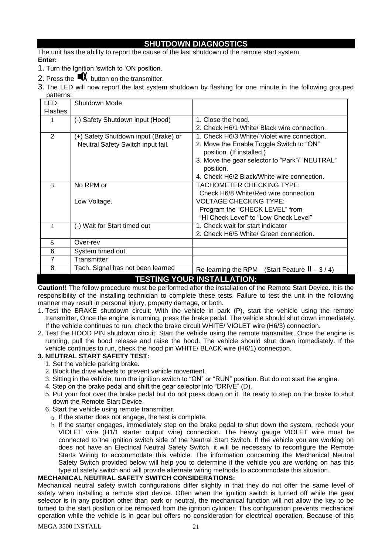#### **SHUTDOWN DIAGNOSTICS**

The unit has the ability to report the cause of the last shutdown of the remote start system. **Enter:**

- 1. Turn the Ignition 'switch to 'ON position.
- 2. Press the  $\blacksquare$  button on the transmitter.
- 3. The LED will now report the last system shutdown by flashing for one minute in the following grouped patterns:

| <b>LED</b>                        | Shutdown Mode                        |                                                    |  |  |
|-----------------------------------|--------------------------------------|----------------------------------------------------|--|--|
| <b>Flashes</b>                    |                                      |                                                    |  |  |
|                                   | (-) Safety Shutdown input (Hood)     | 1. Close the hood.                                 |  |  |
|                                   |                                      | 2. Check H6/1 White/ Black wire connection.        |  |  |
| 2                                 | (+) Safety Shutdown input (Brake) or | 1. Check H6/3 White/ Violet wire connection.       |  |  |
|                                   | Neutral Safety Switch input fail.    | 2. Move the Enable Toggle Switch to "ON"           |  |  |
|                                   |                                      | position. (If installed.)                          |  |  |
|                                   |                                      | 3. Move the gear selector to "Park"/ "NEUTRAL"     |  |  |
|                                   |                                      | position.                                          |  |  |
|                                   |                                      | 4. Check H6/2 Black/White wire connection.         |  |  |
| 3                                 | No RPM or                            | TACHOMETER CHECKING TYPE:                          |  |  |
|                                   |                                      | Check H6/8 White/Red wire connection               |  |  |
| Low Voltage.                      |                                      | <b>VOLTAGE CHECKING TYPE:</b>                      |  |  |
|                                   |                                      | Program the "CHECK LEVEL" from                     |  |  |
|                                   |                                      | "Hi Check Level" to "Low Check Level"              |  |  |
| 4                                 | (-) Wait for Start timed out         | 1. Check wait for start indicator                  |  |  |
|                                   |                                      | 2. Check H6/5 White/ Green connection.             |  |  |
| 5                                 | Over-rev                             |                                                    |  |  |
| 6                                 | System timed out                     |                                                    |  |  |
| 7                                 | Transmitter                          |                                                    |  |  |
| 8                                 | Tach. Signal has not been learned    | (Start Feature $II - 3/4$ )<br>Re-learning the RPM |  |  |
| <b>TESTING YOUR INSTALLATION:</b> |                                      |                                                    |  |  |

**Caution!!** The follow procedure must be performed after the installation of the Remote Start Device. It is the responsibility of the installing technician to complete these tests. Failure to test the unit in the following manner may result in personal injury, property damage, or both.

- 1. Test the BRAKE shutdown circuit: With the vehicle in park (P), start the vehicle using the remote transmitter, Once the engine is running, press the brake pedal. The vehicle should shut down immediately. If the vehicle continues to run, check the brake circuit WHITE/ VIOLET wire (H6/3) connection.
- 2. Test the HOOD PIN shutdown circuit: Start the vehicle using the remote transmitter, Once the engine is running, pull the hood release and raise the hood. The vehicle should shut down immediately. If the vehicle continues to run, check the hood pin WHITE/ BLACK wire (H6/1) connection.
- **3. NEUTRAL START SAFETY TEST:** 
	- 1. Set the vehicle parking brake.
	- 2. Block the drive wheels to prevent vehicle movement.
	- 3. Sitting in the vehicle, turn the ignition switch to "ON" or "RUN" position. But do not start the engine.
	- 4. Step on the brake pedal and shift the gear selector into "DRIVE" (D).
	- 5. Put your foot over the brake pedal but do not press down on it. Be ready to step on the brake to shut down the Remote Start Device.
	- 6. Start the vehicle using remote transmitter.
		- a. If the starter does not engage, the test is complete.
		- b. If the starter engages, immediately step on the brake pedal to shut down the system, recheck your VIOLET wire (H1/1 starter output wire) connection. The heavy gauge VIOLET wire must be connected to the ignition switch side of the Neutral Start Switch. If the vehicle you are working on does not have an Electrical Neutral Safety Switch, it will be necessary to reconfigure the Remote Starts Wiring to accommodate this vehicle. The information concerning the Mechanical Neutral Safety Switch provided below will help you to determine if the vehicle you are working on has this type of safety switch and will provide alternate wiring methods to accommodate this situation.

#### **MECHANICAL NEUTRAL SAFETY SWITCH CONSIDERATIONS:**

Mechanical neutral safety switch configurations differ slightly in that they do not offer the same level of safety when installing a remote start device. Often when the ignition switch is turned off while the gear selector is in any position other than park or neutral, the mechanical function will not allow the key to be turned to the start position or be removed from the ignition cylinder. This configuration prevents mechanical operation while the vehicle is in gear but offers no consideration for electrical operation. Because of this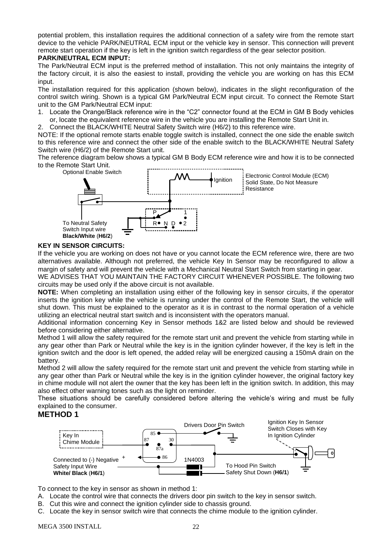potential problem, this installation requires the additional connection of a safety wire from the remote start device to the vehicle PARK/NEUTRAL ECM input or the vehicle key in sensor. This connection will prevent remote start operation if the key is left in the ignition switch regardless of the gear selector position.

#### **PARK/NEUTRAL ECM INPUT:**

The Park/Neutral ECM input is the preferred method of installation. This not only maintains the integrity of the factory circuit, it is also the easiest to install, providing the vehicle you are working on has this ECM input.

The installation required for this application (shown below), indicates in the slight reconfiguration of the control switch wiring. Shown is a typical GM Park/Neutral ECM input circuit. To connect the Remote Start unit to the GM Park/Neutral ECM input:

- 1. Locate the Orange/Black reference wire in the "C2" connector found at the ECM in GM B Body vehicles or, locate the equivalent reference wire in the vehicle you are installing the Remote Start Unit in.
- 2. Connect the BLACK/WHITE Neutral Safety Switch wire (H6/2) to this reference wire.

NOTE: If the optional remote starts enable toggle switch is installed, connect the one side the enable switch to this reference wire and connect the other side of the enable switch to the BLACK/WHITE Neutral Safety Switch wire (H6/2) of the Remote Start unit.

The reference diagram below shows a typical GM B Body ECM reference wire and how it is to be connected to the Remote Start Unit.



#### **KEY IN SENSOR CIRCUITS:**

If the vehicle you are working on does not have or you cannot locate the ECM reference wire, there are two alternatives available. Although not preferred, the vehicle Key In Sensor may be reconfigured to allow a margin of safety and will prevent the vehicle with a Mechanical Neutral Start Switch from starting in gear.

WE ADVISES THAT YOU MAINTAIN THE FACTORY CIRCUIT WHENEVER POSSIBLE. The following two circuits may be used only if the above circuit is not available.

**NOTE:** When completing an installation using either of the following key in sensor circuits, if the operator inserts the ignition key while the vehicle is running under the control of the Remote Start, the vehicle will shut down. This must be explained to the operator as it is in contrast to the normal operation of a vehicle utilizing an electrical neutral start switch and is inconsistent with the operators manual.

Additional information concerning Key in Sensor methods 1&2 are listed below and should be reviewed before considering either alternative.

Method 1 will allow the safety required for the remote start unit and prevent the vehicle from starting while in any gear other than Park or Neutral while the key is in the ignition cylinder however, if the key is left in the ignition switch and the door is left opened, the added relay will be energized causing a 150mA drain on the battery.

Method 2 will allow the safety required for the remote start unit and prevent the vehicle from starting while in any gear other than Park or Neutral while the key is in the ignition cylinder however, the original factory key in chime module will not alert the owner that the key has been left in the ignition switch. In addition, this may also effect other warning tones such as the light on reminder.

These situations should be carefully considered before altering the vehicle's wiring and must be fully explained to the consumer.

#### **METHOD 1**



To connect to the key in sensor as shown in method 1:

- A. Locate the control wire that connects the drivers door pin switch to the key in sensor switch.
- B. Cut this wire and connect the ignition cylinder side to chassis ground.
- C. Locate the key in sensor switch wire that connects the chime module to the ignition cylinder.

MEGA 3500 INSTALL 22